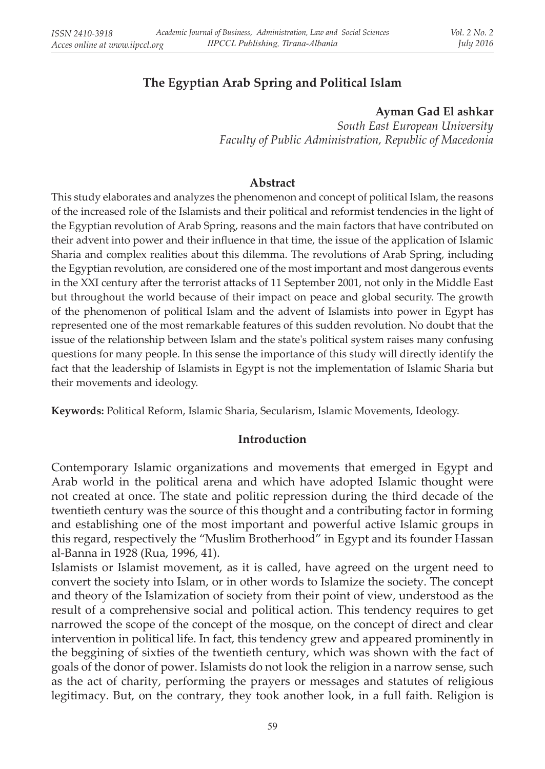# **The Egyptian Arab Spring and Political Islam**

#### **Ayman Gad El ashkar**

*South East European University Faculty of Public Administration, Republic of Macedonia*

#### **Abstract**

This study elaborates and analyzes the phenomenon and concept of political Islam, the reasons of the increased role of the Islamists and their political and reformist tendencies in the light of the Egyptian revolution of Arab Spring, reasons and the main factors that have contributed on their advent into power and their influence in that time, the issue of the application of Islamic Sharia and complex realities about this dilemma. The revolutions of Arab Spring, including the Egyptian revolution, are considered one of the most important and most dangerous events in the XXI century after the terrorist attacks of 11 September 2001, not only in the Middle East but throughout the world because of their impact on peace and global security. The growth of the phenomenon of political Islam and the advent of Islamists into power in Egypt has represented one of the most remarkable features of this sudden revolution. No doubt that the issue of the relationship between Islam and the state's political system raises many confusing questions for many people. In this sense the importance of this study will directly identify the fact that the leadership of Islamists in Egypt is not the implementation of Islamic Sharia but their movements and ideology.

**Keywords:** Political Reform, Islamic Sharia, Secularism, Islamic Movements, Ideology.

### **Introduction**

Contemporary Islamic organizations and movements that emerged in Egypt and Arab world in the political arena and which have adopted Islamic thought were not created at once. The state and politic repression during the third decade of the twentieth century was the source of this thought and a contributing factor in forming and establishing one of the most important and powerful active Islamic groups in this regard, respectively the "Muslim Brotherhood" in Egypt and its founder Hassan al-Banna in 1928 (Rua, 1996, 41).

Islamists or Islamist movement, as it is called, have agreed on the urgent need to convert the society into Islam, or in other words to Islamize the society. The concept and theory of the Islamization of society from their point of view, understood as the result of a comprehensive social and political action. This tendency requires to get narrowed the scope of the concept of the mosque, on the concept of direct and clear intervention in political life. In fact, this tendency grew and appeared prominently in the beggining of sixties of the twentieth century, which was shown with the fact of goals of the donor of power. Islamists do not look the religion in a narrow sense, such as the act of charity, performing the prayers or messages and statutes of religious legitimacy. But, on the contrary, they took another look, in a full faith. Religion is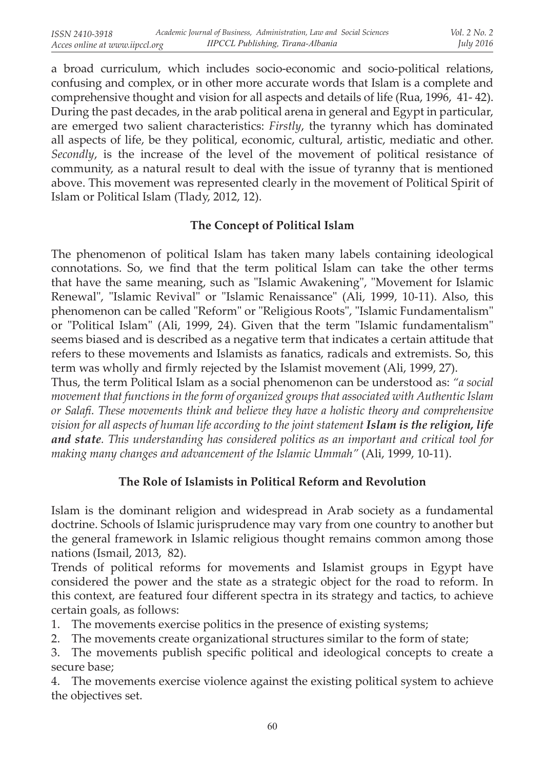a broad curriculum, which includes socio-economic and socio-political relations, confusing and complex, or in other more accurate words that Islam is a complete and comprehensive thought and vision for all aspects and details of life (Rua, 1996, 41- 42). During the past decades, in the arab political arena in general and Egypt in particular, are emerged two salient characteristics: *Firstly*, the tyranny which has dominated all aspects of life, be they political, economic, cultural, artistic, mediatic and other. *Secondly*, is the increase of the level of the movement of political resistance of community, as a natural result to deal with the issue of tyranny that is mentioned above. This movement was represented clearly in the movement of Political Spirit of Islam or Political Islam (Tlady, 2012, 12).

## **The Concept of Political Islam**

The phenomenon of political Islam has taken many labels containing ideological connotations. So, we find that the term political Islam can take the other terms that have the same meaning, such as "Islamic Awakening", "Movement for Islamic Renewal", "Islamic Revival" or "Islamic Renaissance" (Ali, 1999, 10-11). Also, this phenomenon can be called "Reform" or "Religious Roots", "Islamic Fundamentalism" or "Political Islam" (Ali, 1999, 24). Given that the term "Islamic fundamentalism" seems biased and is described as a negative term that indicates a certain attitude that refers to these movements and Islamists as fanatics, radicals and extremists. So, this term was wholly and firmly rejected by the Islamist movement (Ali, 1999, 27).

Thus, the term Political Islam as a social phenomenon can be understood as: *"a social movement that functions in the form of organized groups that associated with Authentic Islam or Salafi. These movements think and believe they have a holistic theory and comprehensive vision for all aspects of human life according to the joint statement Islam is the religion, life and state. This understanding has considered politics as an important and critical tool for making many changes and advancement of the Islamic Ummah"* (Ali, 1999, 10-11).

# **The Role of Islamists in Political Reform and Revolution**

Islam is the dominant religion and widespread in Arab society as a fundamental doctrine. Schools of Islamic jurisprudence may vary from one country to another but the general framework in Islamic religious thought remains common among those nations (Ismail, 2013, 82).

Trends of political reforms for movements and Islamist groups in Egypt have considered the power and the state as a strategic object for the road to reform. In this context, are featured four different spectra in its strategy and tactics, to achieve certain goals, as follows:

- 1. The movements exercise politics in the presence of existing systems;
- 2. The movements create organizational structures similar to the form of state;

3. The movements publish specific political and ideological concepts to create a secure base;

4. The movements exercise violence against the existing political system to achieve the objectives set.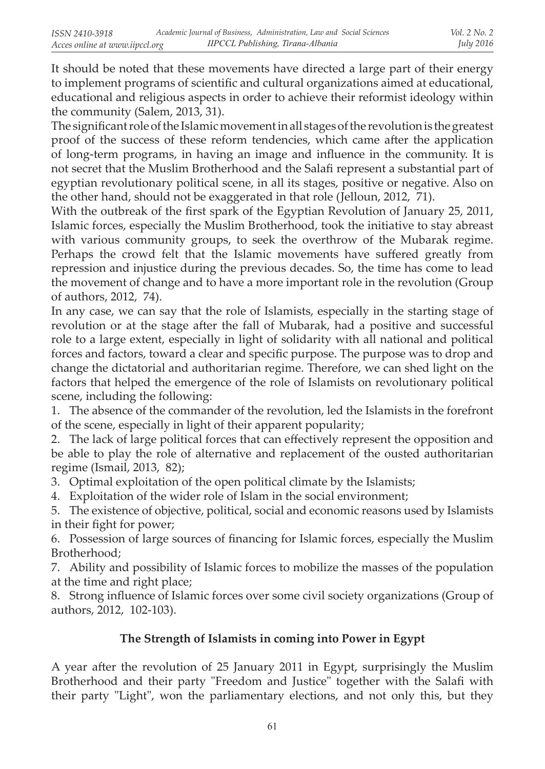It should be noted that these movements have directed a large part of their energy to implement programs of scientific and cultural organizations aimed at educational, educational and religious aspects in order to achieve their reformist ideology within the community (Salem, 2013, 31).

The significant role of the Islamic movement in all stages of the revolution is the greatest proof of the success of these reform tendencies, which came after the application of long-term programs, in having an image and influence in the community. It is not secret that the Muslim Brotherhood and the Salafi represent a substantial part of egyptian revolutionary political scene, in all its stages, positive or negative. Also on the other hand, should not be exaggerated in that role (Jelloun, 2012, 71).

With the outbreak of the first spark of the Egyptian Revolution of January 25, 2011, Islamic forces, especially the Muslim Brotherhood, took the initiative to stay abreast with various community groups, to seek the overthrow of the Mubarak regime. Perhaps the crowd felt that the Islamic movements have suffered greatly from repression and injustice during the previous decades. So, the time has come to lead the movement of change and to have a more important role in the revolution (Group of authors, 2012, 74).

In any case, we can say that the role of Islamists, especially in the starting stage of revolution or at the stage after the fall of Mubarak, had a positive and successful role to a large extent, especially in light of solidarity with all national and political forces and factors, toward a clear and specific purpose. The purpose was to drop and change the dictatorial and authoritarian regime. Therefore, we can shed light on the factors that helped the emergence of the role of Islamists on revolutionary political scene, including the following:

1. The absence of the commander of the revolution, led the Islamists in the forefront of the scene, especially in light of their apparent popularity;

2. The lack of large political forces that can effectively represent the opposition and be able to play the role of alternative and replacement of the ousted authoritarian regime (Ismail, 2013, 82);

3. Optimal exploitation of the open political climate by the Islamists;

4. Exploitation of the wider role of Islam in the social environment;

5. The existence of objective, political, social and economic reasons used by Islamists in their fight for power;

6. Possession of large sources of financing for Islamic forces, especially the Muslim Brotherhood;

7. Ability and possibility of Islamic forces to mobilize the masses of the population at the time and right place;

8. Strong influence of Islamic forces over some civil society organizations (Group of authors, 2012, 102-103).

## **The Strength of Islamists in coming into Power in Egypt**

A year after the revolution of 25 January 2011 in Egypt, surprisingly the Muslim Brotherhood and their party "Freedom and Justice" together with the Salafi with their party "Light", won the parliamentary elections, and not only this, but they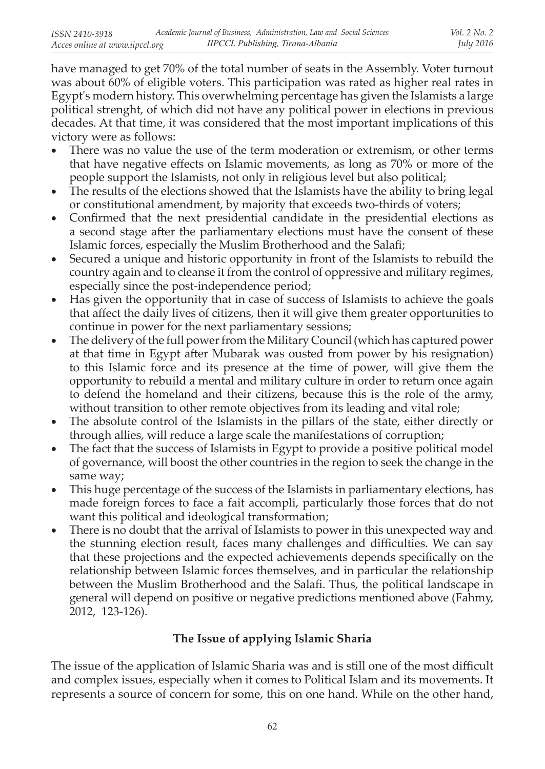have managed to get 70% of the total number of seats in the Assembly. Voter turnout was about 60% of eligible voters. This participation was rated as higher real rates in Egypt's modern history. This overwhelming percentage has given the Islamists a large political strenght, of which did not have any political power in elections in previous decades. At that time, it was considered that the most important implications of this victory were as follows:

- There was no value the use of the term moderation or extremism, or other terms that have negative effects on Islamic movements, as long as 70% or more of the people support the Islamists, not only in religious level but also political;
- The results of the elections showed that the Islamists have the ability to bring legal or constitutional amendment, by majority that exceeds two-thirds of voters;
- • Confirmed that the next presidential candidate in the presidential elections as a second stage after the parliamentary elections must have the consent of these Islamic forces, especially the Muslim Brotherhood and the Salafi;
- Secured a unique and historic opportunity in front of the Islamists to rebuild the country again and to cleanse it from the control of oppressive and military regimes, especially since the post-independence period;
- Has given the opportunity that in case of success of Islamists to achieve the goals that affect the daily lives of citizens, then it will give them greater opportunities to continue in power for the next parliamentary sessions;
- The delivery of the full power from the Military Council (which has captured power at that time in Egypt after Mubarak was ousted from power by his resignation) to this Islamic force and its presence at the time of power, will give them the opportunity to rebuild a mental and military culture in order to return once again to defend the homeland and their citizens, because this is the role of the army, without transition to other remote objectives from its leading and vital role;
- The absolute control of the Islamists in the pillars of the state, either directly or through allies, will reduce a large scale the manifestations of corruption;
- The fact that the success of Islamists in Egypt to provide a positive political model of governance, will boost the other countries in the region to seek the change in the same way;
- This huge percentage of the success of the Islamists in parliamentary elections, has made foreign forces to face a fait accompli, particularly those forces that do not want this political and ideological transformation;
- There is no doubt that the arrival of Islamists to power in this unexpected way and the stunning election result, faces many challenges and difficulties. We can say that these projections and the expected achievements depends specifically on the relationship between Islamic forces themselves, and in particular the relationship between the Muslim Brotherhood and the Salafi. Thus, the political landscape in general will depend on positive or negative predictions mentioned above (Fahmy, 2012, 123-126).

# **The Issue of applying Islamic Sharia**

The issue of the application of Islamic Sharia was and is still one of the most difficult and complex issues, especially when it comes to Political Islam and its movements. It represents a source of concern for some, this on one hand. While on the other hand,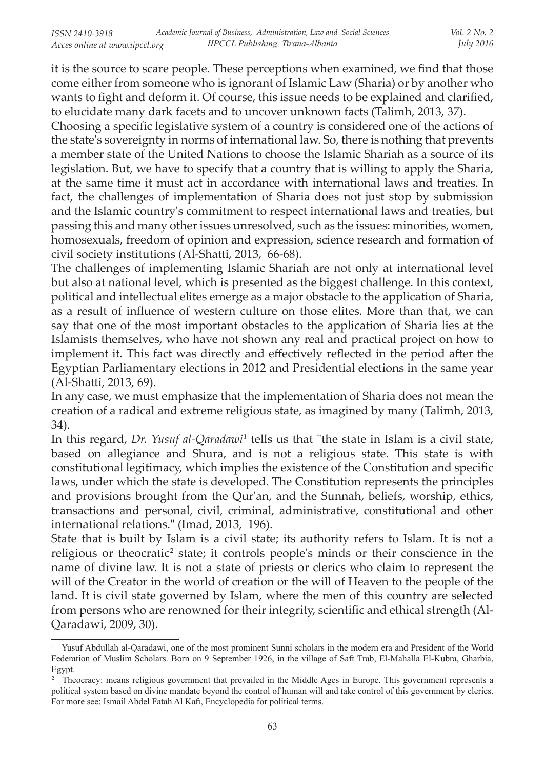it is the source to scare people. These perceptions when examined, we find that those come either from someone who is ignorant of Islamic Law (Sharia) or by another who wants to fight and deform it. Of course, this issue needs to be explained and clarified, to elucidate many dark facets and to uncover unknown facts (Talimh, 2013, 37).

Choosing a specific legislative system of a country is considered one of the actions of the state's sovereignty in norms of international law. So, there is nothing that prevents a member state of the United Nations to choose the Islamic Shariah as a source of its legislation. But, we have to specify that a country that is willing to apply the Sharia, at the same time it must act in accordance with international laws and treaties. In fact, the challenges of implementation of Sharia does not just stop by submission and the Islamic country's commitment to respect international laws and treaties, but passing this and many other issues unresolved, such as the issues: minorities, women, homosexuals, freedom of opinion and expression, science research and formation of civil society institutions (Al-Shatti, 2013, 66-68).

The challenges of implementing Islamic Shariah are not only at international level but also at national level, which is presented as the biggest challenge. In this context, political and intellectual elites emerge as a major obstacle to the application of Sharia, as a result of influence of western culture on those elites. More than that, we can say that one of the most important obstacles to the application of Sharia lies at the Islamists themselves, who have not shown any real and practical project on how to implement it. This fact was directly and effectively reflected in the period after the Egyptian Parliamentary elections in 2012 and Presidential elections in the same year (Al-Shatti, 2013, 69).

In any case, we must emphasize that the implementation of Sharia does not mean the creation of a radical and extreme religious state, as imagined by many (Talimh, 2013, 34).

In this regard, *Dr. Yusuf al-Qaradawi 1* tells us that "the state in Islam is a civil state, based on allegiance and Shura, and is not a religious state. This state is with constitutional legitimacy, which implies the existence of the Constitution and specific laws, under which the state is developed. The Constitution represents the principles and provisions brought from the Qur'an, and the Sunnah, beliefs, worship, ethics, transactions and personal, civil, criminal, administrative, constitutional and other international relations.**"** (Imad, 2013, 196).

State that is built by Islam is a civil state; its authority refers to Islam. It is not a religious or theocratic<sup>2</sup> state; it controls people's minds or their conscience in the name of divine law. It is not a state of priests or clerics who claim to represent the will of the Creator in the world of creation or the will of Heaven to the people of the land. It is civil state governed by Islam, where the men of this country are selected from persons who are renowned for their integrity, scientific and ethical strength (Al-Qaradawi, 2009, 30).

<sup>&</sup>lt;sup>1</sup> Yusuf Abdullah al-Qaradawi, one of the most prominent Sunni scholars in the modern era and President of the World Federation of Muslim Scholars. Born on 9 September 1926, in the village of Saft Trab, El-Mahalla El-Kubra, Gharbia, Egypt.

<sup>&</sup>lt;sup>2</sup> Theocracy: means religious government that prevailed in the Middle Ages in Europe. This government represents a political system based on divine mandate beyond the control of human will and take control of this government by clerics. For more see: Ismail Abdel Fatah Al Kafi, Encyclopedia for political terms.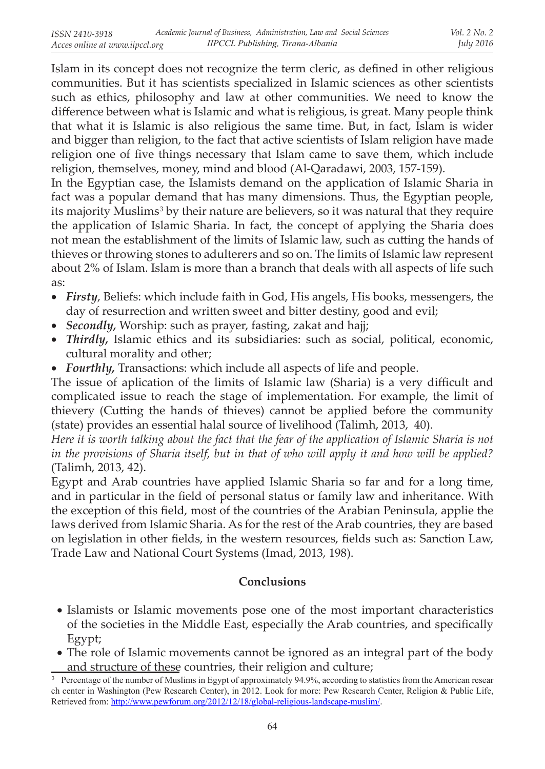Islam in its concept does not recognize the term cleric, as defined in other religious communities. But it has scientists specialized in Islamic sciences as other scientists such as ethics, philosophy and law at other communities. We need to know the difference between what is Islamic and what is religious, is great. Many people think that what it is Islamic is also religious the same time. But, in fact, Islam is wider and bigger than religion, to the fact that active scientists of Islam religion have made religion one of five things necessary that Islam came to save them, which include religion, themselves, money, mind and blood (Al-Qaradawi, 2003, 157-159).

In the Egyptian case, the Islamists demand on the application of Islamic Sharia in fact was a popular demand that has many dimensions. Thus, the Egyptian people, its majority Muslims<sup>3</sup> by their nature are believers, so it was natural that they require the application of Islamic Sharia. In fact, the concept of applying the Sharia does not mean the establishment of the limits of Islamic law, such as cutting the hands of thieves or throwing stones to adulterers and so on. The limits of Islamic law represent about 2% of Islam. Islam is more than a branch that deals with all aspects of life such as:

- • *Firsty*, Beliefs: which include faith in God, His angels, His books, messengers, the day of resurrection and written sweet and bitter destiny, good and evil;
- • *Secondly,* Worship: such as prayer, fasting, zakat and hajj;
- *Thirdly*, Islamic ethics and its subsidiaries: such as social, political, economic, cultural morality and other;
- *Fourthly*, Transactions: which include all aspects of life and people.

The issue of aplication of the limits of Islamic law (Sharia) is a very difficult and complicated issue to reach the stage of implementation. For example, the limit of thievery (Cutting the hands of thieves) cannot be applied before the community (state) provides an essential halal source of livelihood (Talimh, 2013, 40).

*Here it is worth talking about the fact that the fear of the application of Islamic Sharia is not in the provisions of Sharia itself, but in that of who will apply it and how will be applied?* (Talimh, 2013, 42).

Egypt and Arab countries have applied Islamic Sharia so far and for a long time, and in particular in the field of personal status or family law and inheritance. With the exception of this field, most of the countries of the Arabian Peninsula, applie the laws derived from Islamic Sharia. As for the rest of the Arab countries, they are based on legislation in other fields, in the western resources, fields such as: Sanction Law, Trade Law and National Court Systems (Imad, 2013, 198).

### **Conclusions**

- Islamists or Islamic movements pose one of the most important characteristics of the societies in the Middle East, especially the Arab countries, and specifically Egypt;
- The role of Islamic movements cannot be ignored as an integral part of the body and structure of these countries, their religion and culture;

<sup>&</sup>lt;sup>3</sup> Percentage of the number of Muslims in Egypt of approximately 94.9%, according to statistics from the American resear ch center in Washington (Pew Research Center), in 2012. Look for more: Pew Research Center, Religion & Public Life, Retrieved from: http://www.pewforum.org/2012/12/18/global-religious-landscape-muslim/.